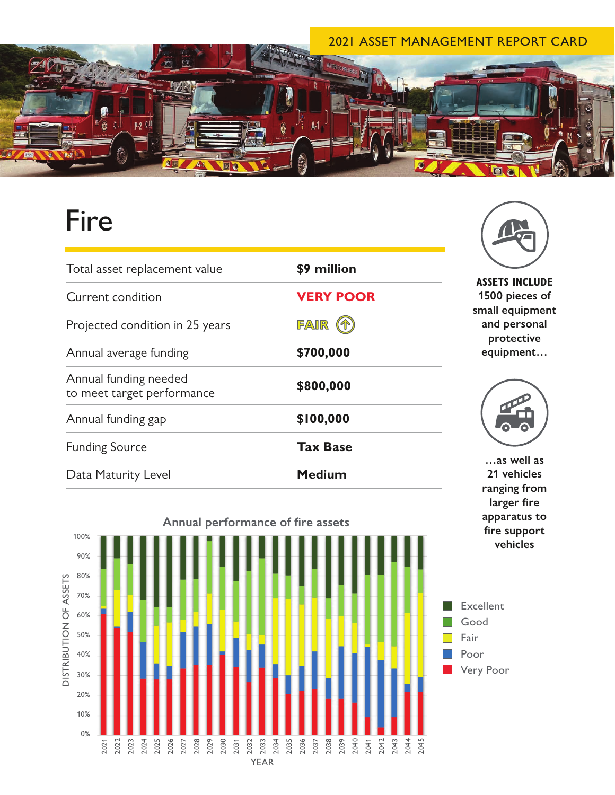## 2021 ASSET MANAGEMENT REPORT CARD



## Fire

| Total asset replacement value                       | \$9 million      |
|-----------------------------------------------------|------------------|
| Current condition                                   | <b>VERY POOR</b> |
| Projected condition in 25 years                     | FAIR             |
| Annual average funding                              | \$700,000        |
| Annual funding needed<br>to meet target performance | \$800,000        |
| Annual funding gap                                  | \$100,000        |
| <b>Funding Source</b>                               | <b>Tax Base</b>  |
| Data Maturity Level                                 | <b>Medium</b>    |





**ASSETS INCLUDE 1500 pieces of small equipment and personal protective equipment…**



**…as well as 21 vehicles ranging from larger fire apparatus to fire support vehicles**